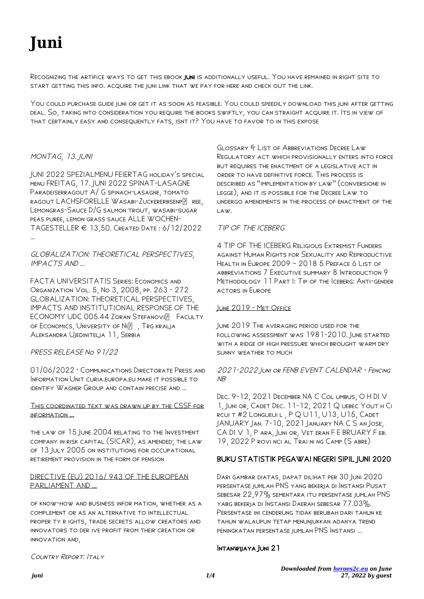# **Juni**

Recognizing the artifice ways to get this ebook juni is additionally useful. You have remained in right site to start getting this info. acquire the juni link that we pay for here and check out the link.

You could purchase guide juni or get it as soon as feasible. You could speedily download this juni after getting deal. So, taking into consideration you require the books swiftly, you can straight acquire it. Its in view of that certainly easy and consequently fats, isnt it? You have to favor to in this expose

## MONTAG, 13. JUNI

JUNI 2022 SPEZIALMENU FEIERTAG holiday's special menu FREITAG, 17. JUNI 2022 SPINAT-LASAGNE Paradeiserragout A/ G spinach-lasagne, tomato RAGOUT LACHSFORELLE WASABI-ZUCKERERBSENPP REE, Lemongras-Sauce D/G salmon trout, wasabi-sugar peas puree, lemon grass sauce ALLE WOCHEN-TAGESTELLER € 13,50. Created Date : 6/12/2022 …

## GLOBALIZATION: THEORETICAL PERSPECTIVES, IMPACTS AND …

FACTA UNIVERSITATIS Series: Economics and Organization Vol. 5, No 3, 2008, pp. 263 - 272 GLOBALIZATION: THEORETICAL PERSPECTIVES, IMPACTS AND INSTITUTIONAL RESPONSE OF THE ECONOMY UDC 005.44 ZORAN STEFANOVI FACULTY OF ECONOMICS, UNIVERSITY OF NI**P**, TRG KRALJA Aleksandra Ujedinitelja 11, Serbia

## PRESS RELEASE No 91/22

01/06/2022 · Communications Directorate Press and Information Unit curia.europa.eu make it possible to identify Wagner Group and contain precise and …

#### This coordinated text was drawn up by the CSSF for information …

the law of 15 June 2004 relating to the Investment company in risk capital (SICAR), as amended; the law of 13 July 2005 on institutions for occupational retirement provision in the form of pension

#### DIRECTIVE (EU) 2016/ 943 OF THE EUROPEAN PARLIAMENT AND …

of know-how and business infor mation, whether as a complement or as an alternative to intellectual proper ty r ights, trade secrets allow creators and innovators to der ive profit from their creation or innovation and,

Glossary & List of Abbreviations Decree Law Regulatory act which provisionally enters into force BUT REQUIRES THE ENACTMENT OF A LEGISLATIVE ACT IN order to have definitive force. This process is described as "implementation by law" (conversione in legge), and it is possible for the Decree Law to undergo amendments in the process of enactment of the law.

## TIP OF THE ICEBERG

4 TIP OF THE ICEBERG Religious Extremist Funders against Human Rights for Sexuality and Reproductive Health in Europe 2009 – 2018 5 Preface 6 List of abbreviations 7 Executive summary 8 Introduction 9 Methodology 11 Part I: Tip of the Iceberg: Anti-gender actors in Europe

## June 2019 - Met Office

June 2019 The averaging period used for the following assessment was 1981-2010. June started with a ridge of high pressure which brought warm dry sunny weather to much

## 2021-2022 Juni or FENB EVENT CALENDAR - Fencing **N<sub>R</sub>**

Dec. 9-12, 2021 December NA C Col umbus, O H DI V 1, Juni or, Cadet Dec. 11-12, 2021 Q uebec Yout h Ci RCUI T #2 LONGUEUI L, P Q U11, U13, U15, CADET JANUARY Jan. 7-10, 2021 January NA C S an Jose, CA DI V 1, P ara, Juni or, Vet eran F E BRUARY F eb. 19, 2022 P rovi nci al Trai ni ng Camp (S abre)

## BUKU STATISTIK PEGAWAI NEGERI SIPIL JUNI 2020

DARI GAMBAR DIATAS, DAPAT DILIHAT PER 30 JUNI 2020 persentase jumlah PNS yang bekerja di Instansi Pusat sebesar 22,97% sementara itu persentase jumlah PNS yabg bekerja di Instansi Daerah sebesar 77.03%. Persentase ini cenderung tidak berubah dari tahun ke tahun walaupun tetap menunjukkan adanya trend peningkatan persentase jumlah PNS Instansi ...

## INTANWIJAYA JUNI 21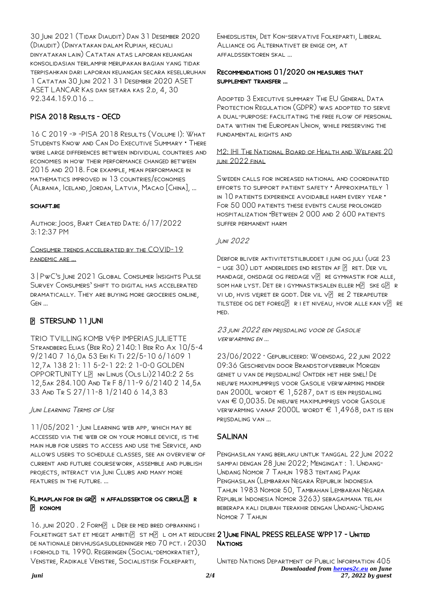30 Juni 2021 (Tidak Diaudit) Dan 31 Desember 2020 (Diaudit) (Dinyatakan dalam Rupiah, kecuali dinyatakan lain) Catatan atas laporan keuangan konsolidasian terlampir merupakan bagian yang tidak terpisahkan dari laporan keuangan secara keseluruhan 1 Catatan 30 Juni 2021 31 Desember 2020 ASET ASET LANCAR Kas dan setara kas 2.d, 4, 30 92.344.159.016 …

## PISA 2018 RESULTS - OECD

16 C 2019 -» -PISA 2018 Results (Volume I): What Students Know and Can Do Executive Summary • There were large differences between individual countries and economies in how their performance changed between 2015 and 2018. For example, mean performance in mathematics improved in 13 countries/economies (Albania, Iceland, Jordan, Latvia, Macao [China], …

## SCHAFT.BE

Author: Joos, Bart Created Date: 6/17/2022 3:12:37 PM

## Consumer trends accelerated by the COVID-19 pandemic are …

3 | PwC's June 2021 Global Consumer Insights Pulse Survey Consumers' shift to digital has accelerated dramatically. They are buying more groceries online, Gen …

## **B** STERSUND 11 JUNI

TRIO TVILLING KOMB V FP IMPERIAS JULIETTE Strandberg Elias (Ber Ro) 2140:1 Ber Ro Ax 10/5-4 9/2140 7 16,0a 53 Eri Ki Ti 22/5-10 6/1609 1 12,7a 138 21: 11 5-2-1 22: 2 1-0-0 GOLDEN OPPORTUNITY LP NN LINUS (OLS LI) 2140:2 2 5s 12,5ak 284.100 And Tr F 8/11-9 6/2140 2 14,5a 33 And Tr S 27/11-8 1/2140 6 14,3 83

## Juni Learning Terms of Use

11/05/2021 · JUNI LEARNING WEB APP, WHICH MAY BE accessed via the web or on your mobile device, is the main hub for users to access and use the Service, and allows users to schedule classes, see an overview of current and future coursework, assemble and publish projects, interact via Juni Clubs and many more features in the future. ...

## KLIMAPLAN FOR EN GR $\boxed{P}$  N AFFALDSSEKTOR OG CIRKUL $\boxed{P}$  R P KONOMI

16. JUNI 2020. 2 FORMP L DER ER MED BRED OPBAKNING I Folketinget sat et meget ambiti $\boxdot$  st m $\boxdot$  l om at reducere  $2$  ]June FINAL PRESS RELEASE WPP17 - United de nationale drivhusgasudledninger med 70 pct. i 2030 i forhold til 1990. Regeringen (Social-demokratiet), Venstre, Radikale Venstre, Socialistisk Folkeparti,

Enhedslisten, Det Kon-servative Folkeparti, Liberal Alliance og Alternativet er enige om, at affaldssektoren skal …

## Recommendations 01/2020 on measures that supplement transfer …

Adopted 3 Executive summary The EU General Data PROTECTION REGULATION (GDPR) WAS ADOPTED TO SERVE a dual-purpose: facilitating the free flow of personal data within the European Union, while preserving the fundamental rights and

## M2: IHI The National Board of Health and Welfare 20 juni 2022 final

Sweden calls for increased national and coordinated efforts to support patient safety • Approximately 1 in 10 patients experience avoidable harm every year • FOR 50 000 PATIENTS THESE EVENTS CAUSE PROLONGED hospitalization •Between 2 000 and 2 600 patients suffer permanent harm

## Juni 2022

Derfor bliver aktivitetstilbuddet i juni og juli (uge 23  $-$  uge  $30$ ) lidt anderledes end resten af  $\overline{R}$  ret. Der vil MANDAGE, ONSDAGE OG FREDAGE V $\boxed{?}$  RE GYMNASTIK FOR ALLE, som har lyst. Det er i gymnastiksalen eller m $\overline{R}$  ske g $\overline{R}$  r vi ud, hvis vejret er godt. Der vil vP re 2 terapeuter TILSTEDE OG DET FOREG $\boxed{P}$  R I ET NIVEAU, HVOR ALLE KAN V $\boxed{P}$  RE med.

## 23 juni 2022 een prijsdaling voor de Gasolie verwarming en …

23/06/2022 · Gepubliceerd: Woensdag, 22 juni 2022 09:36 Geschreven door Brandstofverbruik Morgen geniet u van de prijsdaling! Ontdek het hier snel! De nieuwe maximumprijs voor Gasolie verwarming minder DAN 2000L WORDT  $\in$  1,5287, DAT IS EEN PRIJSDALING van € 0,0035. De nieuwe maximumprijs voor Gasolie verwarming vanaf 2000L wordt € 1,4968, dat is een prijsdaling van …

## **SALINAN**

Penghasilan yang berlaku untuk tanggal 22 Juni 2022 sampai dengan 28 Juni 2022; Mengingat : 1. Undang-Undang Nomor 7 Tahun 1983 tentang Pajak Penghasilan (Lembaran Negara Republik Indonesia Tahun 1983 Nomor 50, Tambahan Lembaran Negara Republik Indonesia Nomor 3263) sebagaimana telah beberapa kali diubah terakhir dengan Undang-Undang Nomor 7 Tahun

## **NATIONS**

*Downloaded from [heroes2c.eu](http://heroes2c.eu) on June 27, 2022 by guest* United Nations Department of Public Information 405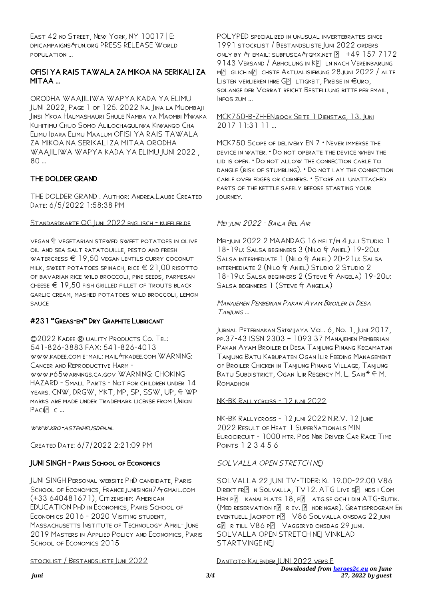EAST 42 ND STREET, NEW YORK, NY 10017 | E: dpicampaigns@un.org PRESS RELEASE World population …

## OFISI YA RAIS TAWALA ZA MIKOA NA SERIKALI ZA MITAA …

ORODHA WAAJILIWA WAPYA KADA YA ELIMU JUNI 2022, Page 1 of 125. 2022 Na. Jina la Muombaji Jinsi Mkoa Halmashauri Shule Namba ya Maombi Mwaka Kuhitimu Chuo Somo Alilochaguliwa Kiwango Cha Elimu Idara Elimu Maalum OFISI YA RAIS TAWALA ZA MIKOA NA SERIKALI ZA MITAA ORODHA WAAJILIWA WAPYA KADA YA ELIMU JUNI 2022 , 80 …

## THE DOLDER GRAND

THE DOLDER GRAND . Author: Andrea.Laube Created Date: 6/5/2022 1:58:38 PM

## Standardkarte OG Juni 2022 englisch - kuffler.de

vegan & vegetarian stewed sweet potatoes in olive oil and sea salt ratatouille, pesto and fresh WATERCRESS  $\in$  19,50 vegan lentils curry coconut MILK, SWEET POTATOES SPINACH, RICE  $\in 21,00$  risotto of bavarian rice wild broccoli, pine seeds, parmesan CHEESE  $\epsilon$  19.50 fish grilled fillet of trouts black garlic cream, mashed potatoes wild broccoli, lemon sauce

## #231 "Greas-em" Dry Graphite Lubricant

©2022 Kadee ® uality Products Co. Tel: 541-826-3883 FAX: 541-826-4013 www.kadee.com e-mail: mail@kadee.com WARNING: Cancer and Reproductive Harm www.p65warnings.ca.gov WARNING: CHOKING HAZARD - Small Parts - Not for children under 14 YEARS. CNW, DRGW, MKT, MP, SP, SSW, UP, G WP marks are made under trademark license from Union  $PACI$  $\overline{P}$   $C$  ...

www.kbo-astenheusden.nl

Created Date: 6/7/2022 2:21:09 PM

## JUNI SINGH - Paris School of Economics

JUNI SINGH Personal website PhD candidate, Paris SCHOOL OF ECONOMICS, FRANCE JUNISINGH7 AT GMAIL.COM (+33 640481671), Citizenship: American EDUCATION PhD in Economics, Paris School of Economics 2016 - 2020 Visiting student, Massachusetts Institute of Technology April- June 2019 Masters in Applied Policy and Economics, Paris SCHOOL OF ECONOMICS 2015

## stocklist / Bestandsliste Juni 2022

POLYPED SPECIALIZED IN UNUSUAL INVERTEBRATES SINCE 1991 stocklist / Bestandsliste Juni 2022 orders ONLY BY  $Ar$  email: subfusca  $Ar$ Gmx.net  $\boxed{9}$  +49 157 7172 9143 VERSAND / ABHOLUNG IN KP LN NACH VEREINBARUNG  $M$  GLICH  $N$  CHSTE AKTUALISIERUNG 28.JUNI 2022 / ALTE LISTEN VERLIEREN IHRE G**P** LTIGKEIT, PREISE IN  $€$ URO, solange der Vorrat reicht Bestellung bitte per email, Infos zum …

#### MCK750-B-ZH-EN.book Seite 1 Dienstag, 13. Juni 2017 11:31 11 …

MCK750 Scope of delivery EN 7 • Never immerse the device in water. • Do not operate the device when the lid is open. • Do not allow the connection cable to dangle (risk of stumbling). • Do not lay the connection cable over edges or corners. • Store all unattached parts of the kettle safely before starting your journey.

## Mei-juni 2022 - Baila Bel Air

Mei-juni 2022 2 MAANDAG 16 mei t/m 4 juli Studio 1 18-19u: Salsa beginners 3 (Nilo & Aniel) 19-20u: Salsa intermediate 1 (Nilo & Aniel) 20-21u: Salsa intermediate 2 (Nilo & Aniel) Studio 2 Studio 2 18-19u: Salsa beginners 2 (Steve & Angela) 19-20u: Salsa beginners 1 (Steve & Angela)

## Manajemen Pemberian Pakan Ayam Broiler di Desa Tanjung …

Jurnal Peternakan Sriwijaya Vol. 6, No. 1, Juni 2017, pp.37-43 ISSN 2303 – 1093 37 Manajemen Pemberian Pakan Ayam Broiler di Desa Tanjung Pinang Kecamatan Tanjung Batu Kabupaten Ogan Ilir Feeding Management of Broiler Chicken in Tanjung Pinang Village, Tanjung Batu Subdistrict, Ogan Ilir Regency M. L. Sari\* & M. ROMADHON

## NK-BK Rallycross - 12 juni 2022

NK-BK Rallycross - 12 juni 2022 N.R.V. 12 June 2022 Result of Heat 1 SuperNationals MIN Eurocircuit - 1000 mtr. Pos Nbr Driver Car Race Time Points 1 2 3 4 5 6

## SOLVALLA OPEN STRETCH NEJ

SOLVALLA 22 JUNI TV-TIDER: Kl 19.00-22.00 V86 DIREKT FRE N SOLVALLA, TV12. ATG LIVE SE NDS I COM  $Hem P$  kanalplats  $18, P$  atg.se och i din ATG-Butik.  $(MED RESENTION F$  R EV. **P** NDRINGAR). GRATISPROGRAM EN EVENTUELL JACKPOT P**P** V86 SOLVALLA ONSDAG 22 JUNI  $G[$  R TILL  $V86$  P $P$  Vaggeryd onsdag 29 juni. SOLVALLA OPEN STRETCH NEJ VINKLAD STARTVINGE NEJ

DANTOTO KALENDER IUNI 2022 VERS E

*Downloaded from [heroes2c.eu](http://heroes2c.eu) on June*